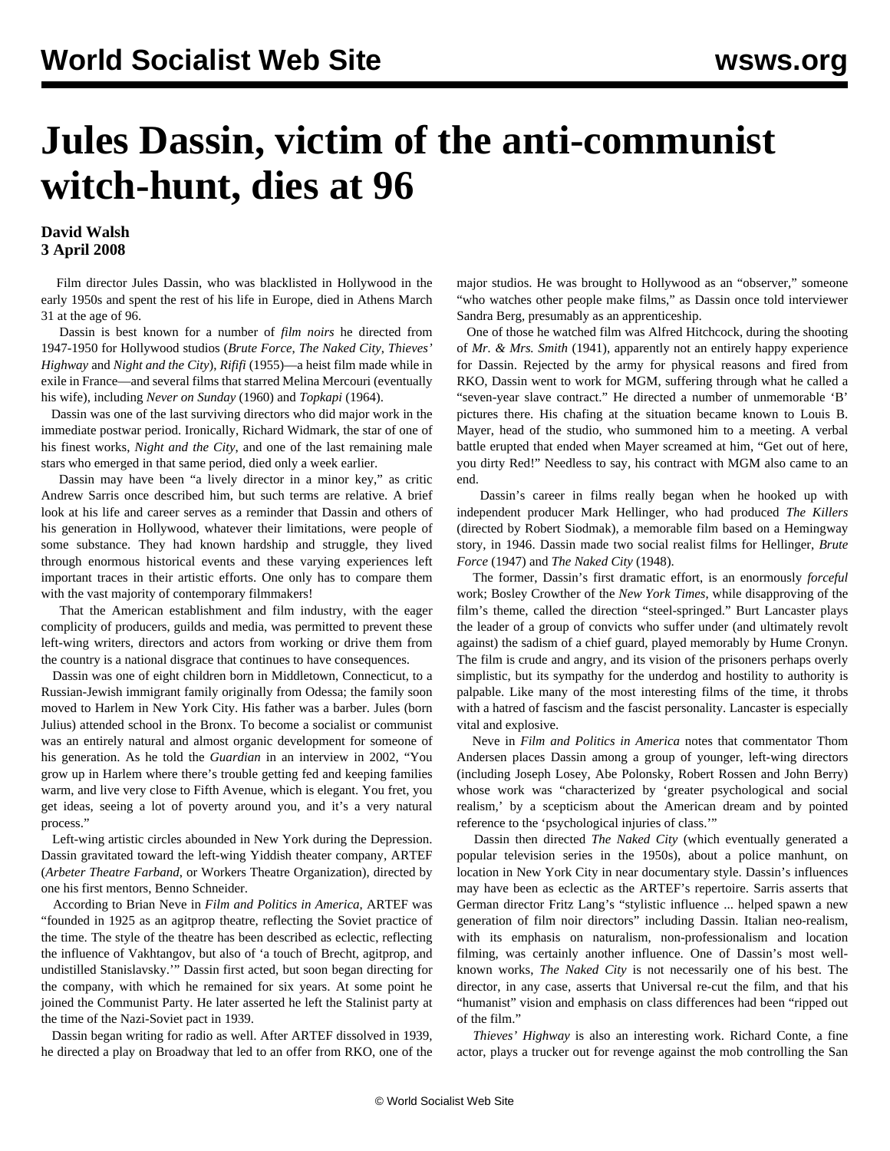## **Jules Dassin, victim of the anti-communist witch-hunt, dies at 96**

## **David Walsh 3 April 2008**

 Film director Jules Dassin, who was blacklisted in Hollywood in the early 1950s and spent the rest of his life in Europe, died in Athens March 31 at the age of 96.

 Dassin is best known for a number of *film noirs* he directed from 1947-1950 for Hollywood studios (*Brute Force*, *The Naked City*, *Thieves' Highway* and *Night and the City*), *Rififi* (1955)—a heist film made while in exile in France—and several films that starred Melina Mercouri (eventually his wife), including *Never on Sunday* (1960) and *Topkapi* (1964).

 Dassin was one of the last surviving directors who did major work in the immediate postwar period. Ironically, Richard Widmark, the star of one of his finest works, *Night and the City*, and one of the last remaining male stars who emerged in that same period, died only a week earlier.

 Dassin may have been "a lively director in a minor key," as critic Andrew Sarris once described him, but such terms are relative. A brief look at his life and career serves as a reminder that Dassin and others of his generation in Hollywood, whatever their limitations, were people of some substance. They had known hardship and struggle, they lived through enormous historical events and these varying experiences left important traces in their artistic efforts. One only has to compare them with the vast majority of contemporary filmmakers!

 That the American establishment and film industry, with the eager complicity of producers, guilds and media, was permitted to prevent these left-wing writers, directors and actors from working or drive them from the country is a national disgrace that continues to have consequences.

 Dassin was one of eight children born in Middletown, Connecticut, to a Russian-Jewish immigrant family originally from Odessa; the family soon moved to Harlem in New York City. His father was a barber. Jules (born Julius) attended school in the Bronx. To become a socialist or communist was an entirely natural and almost organic development for someone of his generation. As he told the *Guardian* in an interview in 2002, "You grow up in Harlem where there's trouble getting fed and keeping families warm, and live very close to Fifth Avenue, which is elegant. You fret, you get ideas, seeing a lot of poverty around you, and it's a very natural process."

 Left-wing artistic circles abounded in New York during the Depression. Dassin gravitated toward the left-wing Yiddish theater company, ARTEF (*Arbeter Theatre Farband*, or Workers Theatre Organization), directed by one his first mentors, Benno Schneider.

 According to Brian Neve in *Film and Politics in America*, ARTEF was "founded in 1925 as an agitprop theatre, reflecting the Soviet practice of the time. The style of the theatre has been described as eclectic, reflecting the influence of Vakhtangov, but also of 'a touch of Brecht, agitprop, and undistilled Stanislavsky.'" Dassin first acted, but soon began directing for the company, with which he remained for six years. At some point he joined the Communist Party. He later asserted he left the Stalinist party at the time of the Nazi-Soviet pact in 1939.

 Dassin began writing for radio as well. After ARTEF dissolved in 1939, he directed a play on Broadway that led to an offer from RKO, one of the

major studios. He was brought to Hollywood as an "observer," someone "who watches other people make films," as Dassin once told interviewer Sandra Berg, presumably as an apprenticeship.

 One of those he watched film was Alfred Hitchcock, during the shooting of *Mr. & Mrs. Smith* (1941), apparently not an entirely happy experience for Dassin. Rejected by the army for physical reasons and fired from RKO, Dassin went to work for MGM, suffering through what he called a "seven-year slave contract." He directed a number of unmemorable 'B' pictures there. His chafing at the situation became known to Louis B. Mayer, head of the studio, who summoned him to a meeting. A verbal battle erupted that ended when Mayer screamed at him, "Get out of here, you dirty Red!" Needless to say, his contract with MGM also came to an end.

 Dassin's career in films really began when he hooked up with independent producer Mark Hellinger, who had produced *The Killers* (directed by Robert Siodmak), a memorable film based on a Hemingway story, in 1946. Dassin made two social realist films for Hellinger, *Brute Force* (1947) and *The Naked City* (1948).

 The former, Dassin's first dramatic effort, is an enormously *forceful* work; Bosley Crowther of the *New York Times*, while disapproving of the film's theme, called the direction "steel-springed." Burt Lancaster plays the leader of a group of convicts who suffer under (and ultimately revolt against) the sadism of a chief guard, played memorably by Hume Cronyn. The film is crude and angry, and its vision of the prisoners perhaps overly simplistic, but its sympathy for the underdog and hostility to authority is palpable. Like many of the most interesting films of the time, it throbs with a hatred of fascism and the fascist personality. Lancaster is especially vital and explosive.

 Neve in *Film and Politics in America* notes that commentator Thom Andersen places Dassin among a group of younger, left-wing directors (including Joseph Losey, Abe Polonsky, Robert Rossen and John Berry) whose work was "characterized by 'greater psychological and social realism,' by a scepticism about the American dream and by pointed reference to the 'psychological injuries of class.'"

 Dassin then directed *The Naked City* (which eventually generated a popular television series in the 1950s), about a police manhunt, on location in New York City in near documentary style. Dassin's influences may have been as eclectic as the ARTEF's repertoire. Sarris asserts that German director Fritz Lang's "stylistic influence ... helped spawn a new generation of film noir directors" including Dassin. Italian neo-realism, with its emphasis on naturalism, non-professionalism and location filming, was certainly another influence. One of Dassin's most wellknown works, *The Naked City* is not necessarily one of his best. The director, in any case, asserts that Universal re-cut the film, and that his "humanist" vision and emphasis on class differences had been "ripped out of the film."

 *Thieves' Highway* is also an interesting work. Richard Conte, a fine actor, plays a trucker out for revenge against the mob controlling the San